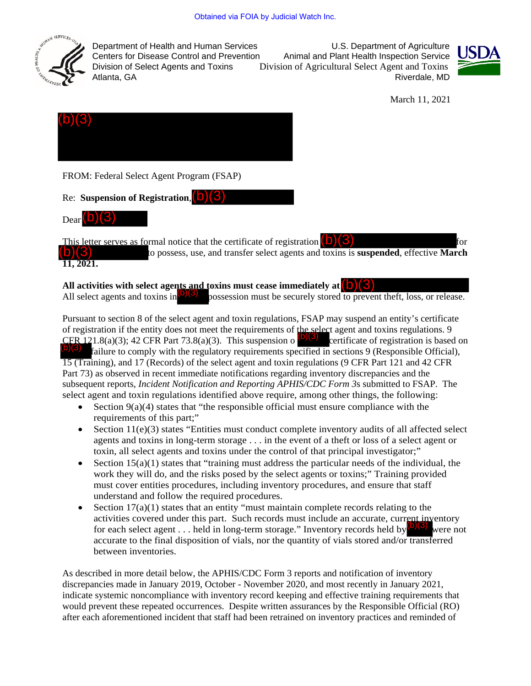

Department of Health and Human Services<br>Centers for Disease Control and Prevention Animal and Plant Health Inspection Service

Animal and Plant Health Inspection Service Division of Select Agents and Toxins Division of Agricultural Select Agent and Toxins Riverdale, MD



March 11, 2021



FROM: Federal Select Agent Program (FSAP)

Re: **Suspension of Registration**, (b)(3)

 $\mathrm{Dear}(\mathsf{b})(3)$ 

This letter serves as formal notice that the certificate of registration  $(b)(3)$  for  $(b)(3)$  for  $(b)(3)$ to possess, use, and transfer select agents and toxins is **suspended**, effective **March 11, 2021.** 

## **All activities with select agents and toxins must cease immediately at**  $(0)(3)$ **<br>All select agents and toxins in**  $(5)(3)$  **possession must be securely stored to preve**

All select agents and toxins in  $\binom{0}{3}$  possession must be securely stored to prevent theft, loss, or release.

Pursuant to section 8 of the select agent and toxin regulations, FSAP may suspend an entity's certificate of registration if the entity does not meet the requirements of the select agent and toxins regulations. 9 CFR 121.8(a)(3); 42 CFR Part 73.8(a)(3). This suspension o  $\frac{1}{2}$  certificate of registration is based on failure to comply with the regulatory requirements specified in sections 9 (Responsible Official), 15 (Training), and 17 (Records) of the select agent and toxin regulations (9 CFR Part 121 and 42 CFR Part 73) as observed in recent immediate notifications regarding inventory discrepancies and the subsequent reports, *Incident Notification and Reporting APHIS/CDC Form 3*s submitted to FSAP. The select agent and toxin regulations identified above require, among other things, the following:  $(b)(3)$ 

- Section  $9(a)(4)$  states that "the responsible official must ensure compliance with the requirements of this part;"
- Section  $11(e)(3)$  states "Entities must conduct complete inventory audits of all affected select agents and toxins in long-term storage . . . in the event of a theft or loss of a select agent or toxin, all select agents and toxins under the control of that principal investigator;"
- Section  $15(a)(1)$  states that "training must address the particular needs of the individual, the work they will do, and the risks posed by the select agents or toxins;" Training provided must cover entities procedures, including inventory procedures, and ensure that staff understand and follow the required procedures.
- Section  $17(a)(1)$  states that an entity "must maintain complete records relating to the activities covered under this part. Such records must include an accurate, current inventory for each select agent . . . held in long-term storage." Inventory records held by  $\binom{6}{3}$  were not accurate to the final disposition of vials, nor the quantity of vials stored and/or transferred between inventories.

As described in more detail below, the APHIS/CDC Form 3 reports and notification of inventory discrepancies made in January 2019, October - November 2020, and most recently in January 2021, indicate systemic noncompliance with inventory record keeping and effective training requirements that would prevent these repeated occurrences. Despite written assurances by the Responsible Official (RO) after each aforementioned incident that staff had been retrained on inventory practices and reminded of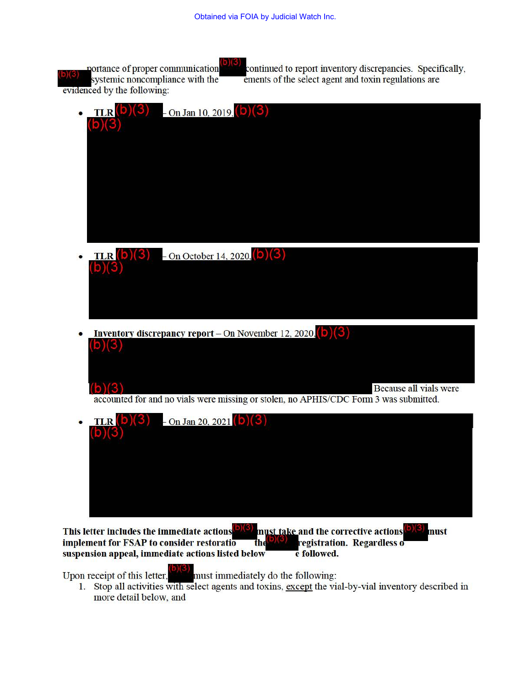portance of proper communication ystemic noncompliance with the evidenced by the following: continued to report inventory discrepancies. Specifically, ements of the select agent and toxin regulations are

|           | $TLR(b)(3)$ - On Jan 10, 2019, (b)(3)                                                 |
|-----------|---------------------------------------------------------------------------------------|
|           | (b)(3)                                                                                |
|           |                                                                                       |
|           |                                                                                       |
|           |                                                                                       |
|           |                                                                                       |
|           |                                                                                       |
|           |                                                                                       |
| $\bullet$ | <b>TLR</b> (b)(3) – On October 14, 2020, (b)(3)                                       |
|           | (b)(3)                                                                                |
|           |                                                                                       |
|           |                                                                                       |
|           |                                                                                       |
|           | <b>Inventory discrepancy report</b> – On November 12, 2020, (b) $(3)$                 |
|           | (b)(3)                                                                                |
|           |                                                                                       |
|           | (b)(3)<br>Because all vials were                                                      |
|           | accounted for and no vials were missing or stolen, no APHIS/CDC Form 3 was submitted. |
|           | <b>TLR</b> (b)(3) - On Jan 20, 2021 (b)(3)                                            |
|           | (b)(3)                                                                                |
|           |                                                                                       |

This letter includes the immediate actions  $\frac{D(3)}{D(3)}$  must take and the corrective actions  $\frac{(b)(3)}{D(3)}$  must implement for FSAP to consider restoratio implement for FSAP to consider restoration. The  $\mathbf{e}_{\mathcal{S}}$ suspension appeal, immediate actions listed below e followed.

•

Upon receipt of this letter, **included** must immediately do the following:

1. Stop all activities with select agents and toxins, except the vial-by-vial inventory described in more detail below, and